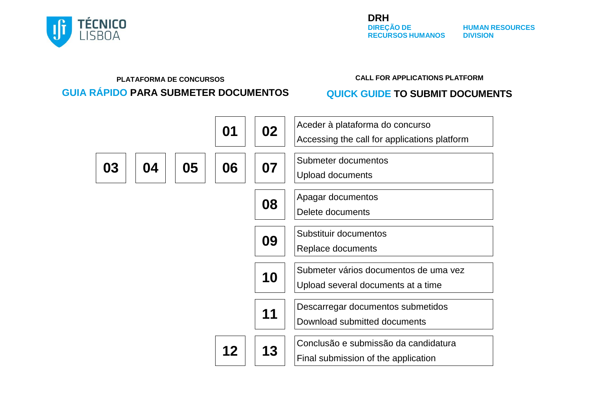<span id="page-0-0"></span>

#### **PLATAFORMA DE CONCURSOS CALL FOR APPLICATIONS PLATFORM GUIA RÁPIDO PARA SUBMETER DOCUMENTOS QUICK GUIDE TO SUBMIT DOCUMENTS**

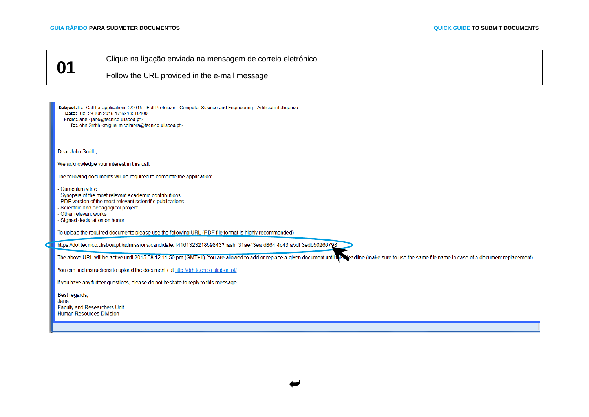Clique na ligação enviada na mensagem de correio eletrónico

<span id="page-1-0"></span>Follow the URL provided in the e-mail message

| Subject: Re: Call for applications 2/2015 - Full Professor - Computer Science and Engineering - Artificial intelligence<br>Date: Tue. 23 Jun 2015 17:53:58 +0100<br>From: Jane <jane@tecnico.ulisboa.pt><br/>To: John Smith <miguel.m.coimbra@tecnico.ulisboa.pt></miguel.m.coimbra@tecnico.ulisboa.pt></jane@tecnico.ulisboa.pt> |
|-----------------------------------------------------------------------------------------------------------------------------------------------------------------------------------------------------------------------------------------------------------------------------------------------------------------------------------|
| Dear John Smith,                                                                                                                                                                                                                                                                                                                  |
| We acknowledge your interest in this call.                                                                                                                                                                                                                                                                                        |
| The following documents will be required to complete the application:                                                                                                                                                                                                                                                             |
| - Curriculum vitae<br>- Synopsis of the most relevant academic contributions<br>- PDF version of the most relevant scientific publications<br>- Scientific and pedagogical project<br>- Other relevant works<br>- Signed declaration on honor                                                                                     |
| To upload the required documents please use the following URL (PDF file format is highly recommended):                                                                                                                                                                                                                            |
| https://dot.tecnico.ulisboa.pt:/admissions/candidate/1416132321869843?hash=31ae43ea-d864-4c43-a5df-3edb50266798                                                                                                                                                                                                                   |
| The above URL will be active until 2015.08.12 11.50 pm (GMT+1). You are allowed to add or replace a given document until this seadline (make sure to use the same file name in case of a document replacement).                                                                                                                   |
| You can find instructions to upload the documents at http://drh.tecnico.ulisboa.pt/                                                                                                                                                                                                                                               |
| If you have any further questions, please do not hesitate to reply to this message.                                                                                                                                                                                                                                               |
| Best regards,<br>Jane<br><b>Faculty and Researchers Unit</b><br><b>Human Resources Division</b>                                                                                                                                                                                                                                   |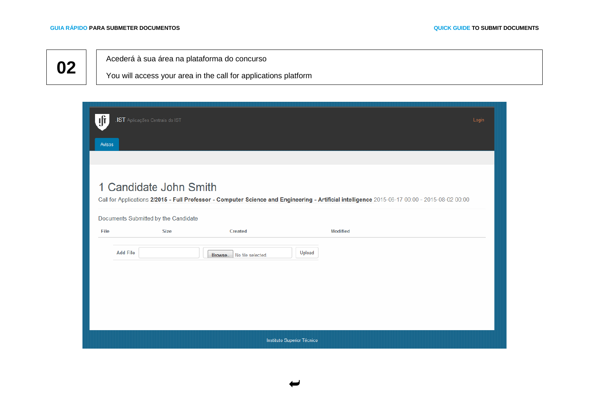<span id="page-2-0"></span>Acederá à sua área na plataforma do concurso

You will access your area in the call for applications platform

| ļļì<br>Avisos   | .IST Aplicações Centrais do IST      |                           |                                                                                                                                                | Login |
|-----------------|--------------------------------------|---------------------------|------------------------------------------------------------------------------------------------------------------------------------------------|-------|
|                 | 1 Candidate John Smith               |                           |                                                                                                                                                |       |
|                 | Documents Submitted by the Candidate |                           | Call for Applications 2/2015 - Full Professor - Computer Science and Engineering - Artificial intelligence 2015-06-17 00:00 - 2015-08-02 00:00 |       |
| File            | <b>Size</b>                          | <b>Created</b>            | <b>Modified</b>                                                                                                                                |       |
| <b>Add File</b> |                                      | Browse. No file selected. | Upload                                                                                                                                         |       |
|                 |                                      |                           |                                                                                                                                                |       |
|                 |                                      |                           |                                                                                                                                                |       |
|                 |                                      |                           |                                                                                                                                                |       |
|                 |                                      |                           | Instituto Superior Técnico                                                                                                                     |       |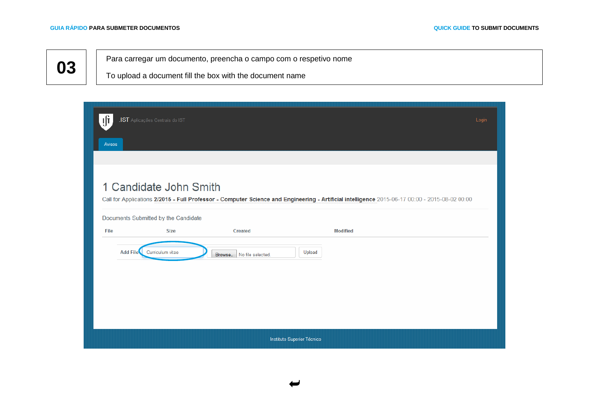<span id="page-3-0"></span>Para carregar um documento, preencha o campo com o respetivo nome

To upload a document fill the box with the document name

|                 | .IST Aplicações Centrais do IST      |                           |                                                                                                                                                | Login |
|-----------------|--------------------------------------|---------------------------|------------------------------------------------------------------------------------------------------------------------------------------------|-------|
| Avisos          |                                      |                           |                                                                                                                                                |       |
|                 |                                      |                           |                                                                                                                                                |       |
|                 | 1 Candidate John Smith               |                           | Call for Applications 2/2015 - Full Professor - Computer Science and Engineering - Artificial intelligence 2015-06-17 00:00 - 2015-08-02 00:00 |       |
|                 | Documents Submitted by the Candidate |                           |                                                                                                                                                |       |
| File            | <b>Size</b>                          | Created                   | <b>Modified</b>                                                                                                                                |       |
| <b>Add File</b> | Curriculum vitae                     | Browse. No file selected. | Upload                                                                                                                                         |       |
|                 |                                      |                           |                                                                                                                                                |       |
|                 |                                      |                           |                                                                                                                                                |       |
|                 |                                      |                           |                                                                                                                                                |       |
|                 |                                      |                           | Instituto Superior Técnico                                                                                                                     |       |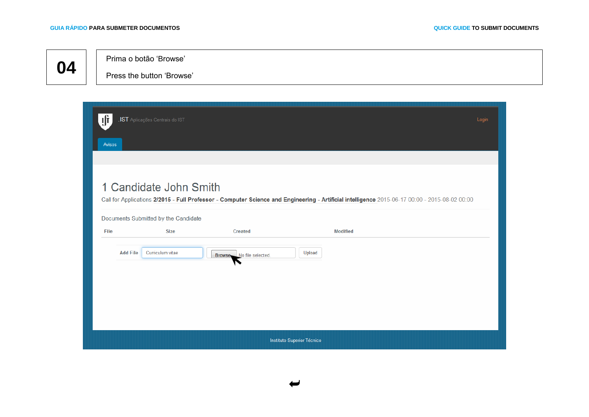<span id="page-4-0"></span>Prima o botão 'Browse'

Press the button 'Browse'

| ıfr<br>Avisos   | .IST Aplicações Centrais do IST                                |                              |                                                                                                                                                | Login |  |  |  |
|-----------------|----------------------------------------------------------------|------------------------------|------------------------------------------------------------------------------------------------------------------------------------------------|-------|--|--|--|
|                 |                                                                |                              |                                                                                                                                                |       |  |  |  |
|                 | 1 Candidate John Smith<br>Documents Submitted by the Candidate |                              | Call for Applications 2/2015 - Full Professor - Computer Science and Engineering - Artificial intelligence 2015-06-17 00:00 - 2015-08-02 00:00 |       |  |  |  |
| File            | <b>Size</b>                                                    | <b>Created</b>               | <b>Modified</b>                                                                                                                                |       |  |  |  |
| <b>Add File</b> | Curriculum vitae                                               | No file selected.<br>Browse. | Upload                                                                                                                                         |       |  |  |  |
|                 | Instituto Superior Técnico                                     |                              |                                                                                                                                                |       |  |  |  |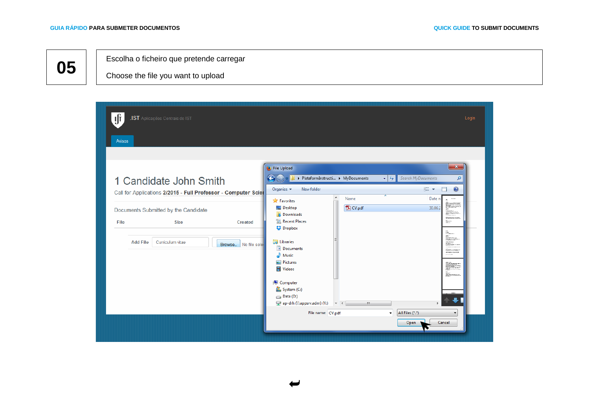Escolha o ficheiro que pretende carregar

Choose the file you want to upload

<span id="page-5-0"></span>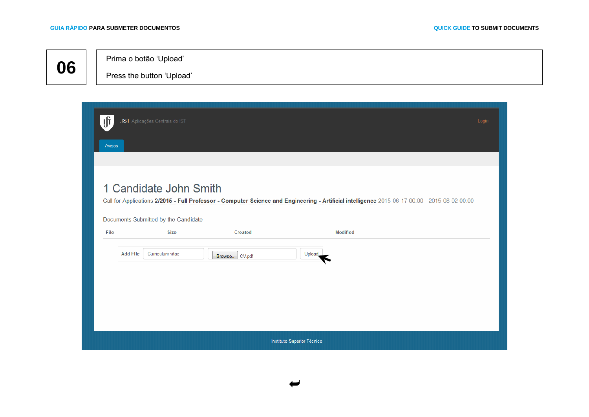<span id="page-6-0"></span>Prima o botão 'Upload'

Press the button 'Upload'

| ılî<br>Avisos   | .IST Aplicações Centrais do IST                     |                |                                                                                                                                                | Login |
|-----------------|-----------------------------------------------------|----------------|------------------------------------------------------------------------------------------------------------------------------------------------|-------|
|                 |                                                     |                |                                                                                                                                                |       |
|                 | 1 Candidate John Smith                              |                | Call for Applications 2/2015 - Full Professor - Computer Science and Engineering - Artificial intelligence 2015-06-17 00:00 - 2015-08-02 00:00 |       |
| File            | Documents Submitted by the Candidate<br><b>Size</b> | Created        | <b>Modified</b>                                                                                                                                |       |
| <b>Add File</b> | Curriculum vitae                                    | Browse. CV.pdf | Upload                                                                                                                                         |       |
|                 |                                                     |                |                                                                                                                                                |       |
|                 |                                                     |                |                                                                                                                                                |       |
|                 |                                                     |                |                                                                                                                                                |       |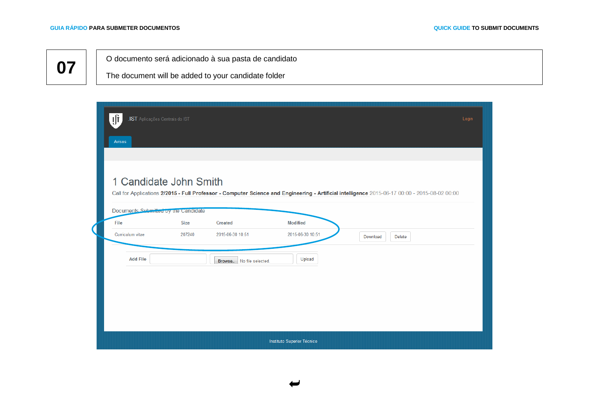<span id="page-7-0"></span>O documento será adicionado à sua pasta de candidato

The document will be added to your candidate folder

| ļf<br>.IST Aplicações Centrais do IST<br>Avisos                        |             |                              |                            | Login                                                                                                                                          |
|------------------------------------------------------------------------|-------------|------------------------------|----------------------------|------------------------------------------------------------------------------------------------------------------------------------------------|
| 1 Candidate John Smith<br>Documents Submitted by the Candidate<br>File | <b>Size</b> | Created                      | <b>Modified</b>            | Call for Applications 2/2015 - Full Professor - Computer Science and Engineering - Artificial intelligence 2015-06-17 00:00 - 2015-08-02 00:00 |
| Curriculum vitae                                                       | 207240      | 2015-06-30 10:51             | 2015-06-30 10:51           | Download<br>Delete                                                                                                                             |
| <b>Add File</b>                                                        |             | No file selected.<br>Browse. | Upload                     |                                                                                                                                                |
|                                                                        |             |                              | Instituto Superior Técnico |                                                                                                                                                |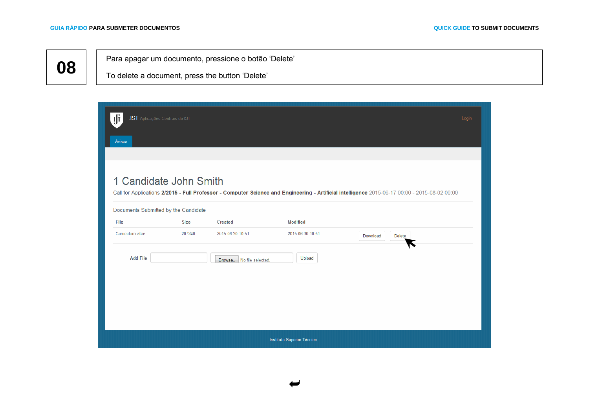<span id="page-8-0"></span>Para apagar um documento, pressione o botão 'Delete'

To delete a document, press the button 'Delete'

| ıfi<br>.IST Aplicações Centrais do IST |             |                             |                            | Login                                                                                                                                          |
|----------------------------------------|-------------|-----------------------------|----------------------------|------------------------------------------------------------------------------------------------------------------------------------------------|
| Avisos                                 |             |                             |                            |                                                                                                                                                |
|                                        |             |                             |                            |                                                                                                                                                |
| 1 Candidate John Smith                 |             |                             |                            | Call for Applications 2/2015 - Full Professor - Computer Science and Engineering - Artificial intelligence 2015-06-17 00:00 - 2015-08-02 00:00 |
| Documents Submitted by the Candidate   |             |                             |                            |                                                                                                                                                |
| File                                   | <b>Size</b> | Created                     | <b>Modified</b>            |                                                                                                                                                |
| Curriculum vitae                       | 207240      | 2015-06-30 10:51            | 2015-06-30 10:51           | Download<br>Delete                                                                                                                             |
| <b>Add File</b>                        |             | No file selected.<br>Browse | Upload                     |                                                                                                                                                |
|                                        |             |                             |                            |                                                                                                                                                |
|                                        |             |                             |                            |                                                                                                                                                |
|                                        |             |                             |                            |                                                                                                                                                |
|                                        |             |                             |                            |                                                                                                                                                |
|                                        |             |                             | Instituto Superior Técnico |                                                                                                                                                |

U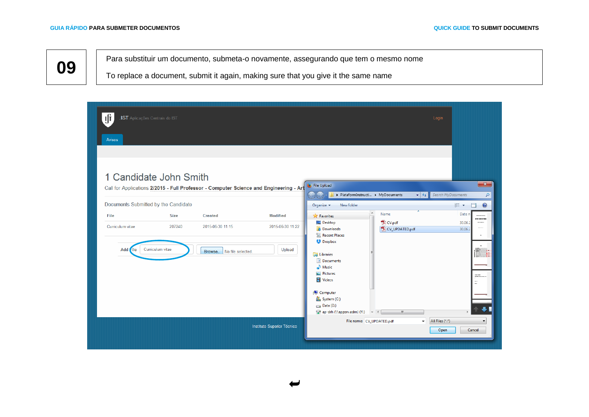<span id="page-9-0"></span>**09** Para substituir um documento, submeta-o novamente, assegurando que tem o mesmo nome

To replace a document, submit it again, making sure that you give it the same name

| ПT<br>Avisos                | .IST Aplicações Centrais do IST                                        |                                                                                                   |                            |                                                                                                                                                                                         |                                            | Login                                                                                                             |
|-----------------------------|------------------------------------------------------------------------|---------------------------------------------------------------------------------------------------|----------------------------|-----------------------------------------------------------------------------------------------------------------------------------------------------------------------------------------|--------------------------------------------|-------------------------------------------------------------------------------------------------------------------|
| File                        | 1 Candidate John Smith<br>Documents Submitted by the Candidate<br>Size | Call for Applications 2/2015 - Full Professor - Computer Science and Engineering - Art<br>Created | <b>Modified</b>            | File Upload<br>PlataformInstructi > MyDocuments<br>New folder<br>Organize $\blacktriangledown$<br>$\blacktriangle$<br><b>X</b> Favorites                                                | $\mathbf{v}$ +<br>≖<br>Name                | $\mathbf{x}$<br>Search MyDocuments<br>م<br>$\Box$<br>$\odot$<br>888 ▼<br>Date n<br><b>Book Street</b><br>-------- |
| Curriculum vitae<br>Add die | 207240<br>Curriculum vitae                                             | 2015-06-30 11:15<br>Browse.   No file selected.                                                   | 2015-06-30 11:22<br>Upload | Desktop<br><b>D</b> Downloads<br>Recent Places<br><b>Dropbox</b><br>Libraries<br>Documents<br>$\blacksquare$ Music<br>Pictures<br>Videos<br>Computer<br>System (C:)<br>$\Box$ Data (D:) | T CV.pdf<br>CV_UPDATED.pdf<br>$\mathbf{m}$ | 30.06.2<br>30.06.2<br>T.<br>antarias<br>Cantarias estas<br>$\ddot{ }$                                             |
|                             |                                                                        |                                                                                                   | Instituto Superior Técnico | File name: CV_UPDATED.pdf                                                                                                                                                               |                                            | All Files (*.*)<br>Open<br>Cancel                                                                                 |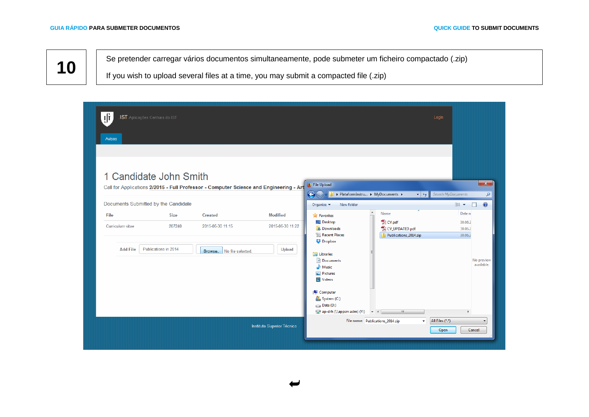<span id="page-10-0"></span>**10** Se pretender carregar vários documentos simultaneamente, pode submeter um ficheiro compactado (.zip)

If you wish to upload several files at a time, you may submit a compacted file (.zip)

| ıfr<br>.IST Aplicações Centrais do IST<br>Avisos               |                                               |                                                                                        |                                               |                                                                                                                                         | Login                                                                         |                                         |                                   |
|----------------------------------------------------------------|-----------------------------------------------|----------------------------------------------------------------------------------------|-----------------------------------------------|-----------------------------------------------------------------------------------------------------------------------------------------|-------------------------------------------------------------------------------|-----------------------------------------|-----------------------------------|
| 1 Candidate John Smith<br>Documents Submitted by the Candidate |                                               | Call for Applications 2/2015 - Full Professor - Computer Science and Engineering - Art |                                               | File Upload<br>€<br>New folder<br>Organize v                                                                                            | ▶ PlataformInstru ▶ MyDocuments ▶<br>$\mathbf{v}$ +                           | Search MyDocuments<br>988 -             | $- x -$<br>م<br>$\odot$<br>$\Box$ |
| File<br>Curriculum vitae<br><b>Add File</b>                    | <b>Size</b><br>207240<br>Publications in 2014 | <b>Created</b><br>2015-06-30 11:15<br>Browse.   No file selected.                      | <b>Modified</b><br>2015-06-30 11:22<br>Upload | <b>X</b> Favorites<br>Desktop<br><b>D</b> . Downloads<br><b>E</b> Recent Places<br><b>E</b> Dropbox<br><b>Ed Libraries</b><br>Documents | $\blacktriangle$<br>Name<br>CV.pdf<br>CV_UPDATED.pdf<br>Publications_2014.zip | Date n<br>30.06.2<br>30.06.2<br>30.06.2 | No preview                        |
|                                                                |                                               |                                                                                        |                                               | $\blacksquare$ Music<br>Pictures<br>Videos<br>Computer<br>System (C:)<br>$\Box$ Data (D:)<br>ap-drh (\\appsrv.adm) (Y:) $\rightarrow$ < | $\mathbf{m}_1$                                                                | þ.                                      | available.                        |
|                                                                |                                               |                                                                                        | Instituto Superior Técnico                    |                                                                                                                                         | File name: Publications_2014.zip<br>٠                                         | All Files (*.*)<br>Open                 | Cancel                            |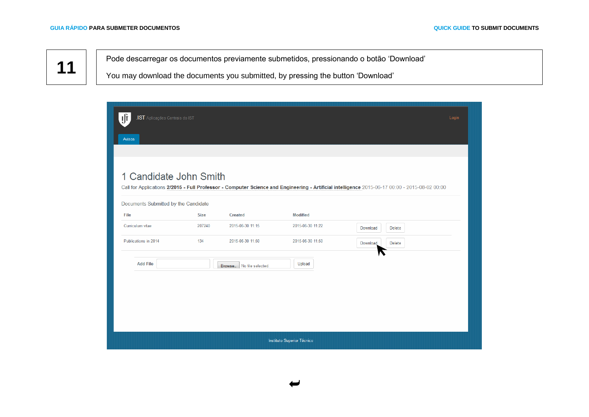<span id="page-11-0"></span>

Pode descarregar os documentos previamente submetidos, pressionando o botão 'Download'

You may download the documents you submitted, by pressing the button 'Download'

| ıfi<br>.IST Aplicações Centrais do IST |        |                             |                  | Login                                                                                                                                          |
|----------------------------------------|--------|-----------------------------|------------------|------------------------------------------------------------------------------------------------------------------------------------------------|
| Avisos                                 |        |                             |                  |                                                                                                                                                |
|                                        |        |                             |                  |                                                                                                                                                |
| 1 Candidate John Smith                 |        |                             |                  | Call for Applications 2/2015 - Full Professor - Computer Science and Engineering - Artificial intelligence 2015-06-17 00:00 - 2015-08-02 00:00 |
| Documents Submitted by the Candidate   |        |                             |                  |                                                                                                                                                |
| File                                   | Size   | <b>Created</b>              | <b>Modified</b>  |                                                                                                                                                |
| Curriculum vitae                       | 207240 | 2015-06-30 11:15            | 2015-06-30 11:22 | Delete<br>Download                                                                                                                             |
| Publications in 2014                   | 134    | 2015-06-30 11:50            | 2015-06-30 11:50 | Download<br>Delete                                                                                                                             |
| <b>Add File</b>                        |        | Browse<br>No file selected. | Upload           |                                                                                                                                                |
|                                        |        |                             |                  |                                                                                                                                                |
|                                        |        |                             |                  |                                                                                                                                                |
|                                        |        |                             |                  |                                                                                                                                                |
|                                        |        |                             |                  |                                                                                                                                                |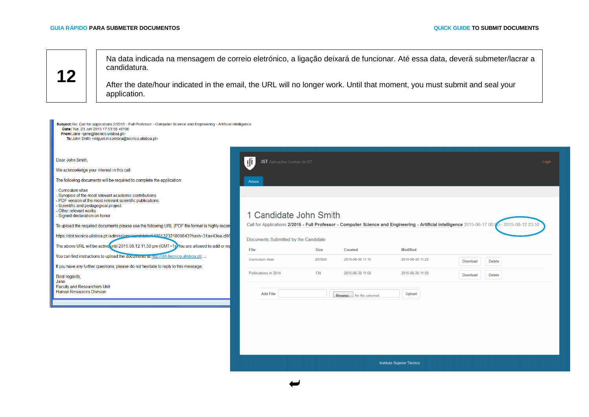<span id="page-12-0"></span>**12** Na data indicada na mensagem de correio eletrónico, a ligação deixará de funcionar. Até essa data, deverá submeter/lacrar a candidatura.

After the date/hour indicated in the email, the URL will no longer work. Until that moment, you must submit and seal your application.

| Subject: Re: Call for applications 2/2015 - Full Professor - Computer Science and Engineering - Artificial intelligence<br>Date: Tue, 23 Jun 2015 17:53:58 +0100<br>From: Jane <jane@tecnico.ulisboa.pt><br/>To: John Smith <miguel.m.coimbra@tecnico.ulisboa.pt></miguel.m.coimbra@tecnico.ulisboa.pt></jane@tecnico.ulisboa.pt> |                                                                                                                                                                          |        |                                               |                                   |          |        |       |
|-----------------------------------------------------------------------------------------------------------------------------------------------------------------------------------------------------------------------------------------------------------------------------------------------------------------------------------|--------------------------------------------------------------------------------------------------------------------------------------------------------------------------|--------|-----------------------------------------------|-----------------------------------|----------|--------|-------|
| Dear John Smith,<br>We acknowledge your interest in this call.<br>The following documents will be required to complete the application:<br>Curriculum vitae<br>Synopsis of the most relevant academic contributions<br>PDF version of the most relevant scientific publications                                                   | ıfi<br>.IST Aplicações Centrais do IST<br>Avisos                                                                                                                         |        |                                               |                                   |          |        | Login |
| Scientific and pedagogical project<br>- Other relevant works<br>- Signed declaration on honor<br>To upload the required documents please use the following URL (PDF file format is highly recom                                                                                                                                   | 1 Candidate John Smith<br>Call for Applications 2/2015 - Full Professor - Computer Science and Engineering - Artificial intelligence 2015-06-17 00:00 - 2015-08-12 23:50 |        |                                               |                                   |          |        |       |
| https://dot.tecnico.ulisboa.pt//admissions/candidate/4446132321869843?hash=31ae43ea-d86<br>The above URL will be active until 2015.08.12 11.50 pm (GMT+1). You are allowed to add or rep                                                                                                                                          | Documents Submitted by the Candidate<br>File                                                                                                                             | Size   | Created                                       | <b>Modified</b>                   |          |        |       |
| You can find instructions to upload the documents at ntip://drh.tecnico.ulisboa.pt/<br>If you have any further questions, please do not hesitate to reply to this message.                                                                                                                                                        | Curriculum vitae                                                                                                                                                         | 207240 | 2015-06-30 11:15                              | 2015-06-30 11:22                  | Download | Delete |       |
| Best regards,<br>Jane<br><b>Faculty and Researchers Unit</b><br><b>Human Resources Division</b>                                                                                                                                                                                                                                   | Publications in 2014<br><b>Add File</b>                                                                                                                                  | 134    | 2015-06-30 11:50<br>Browse. No file selected. | 2015-06-30 11:50<br>Upload        | Download | Delete |       |
|                                                                                                                                                                                                                                                                                                                                   |                                                                                                                                                                          |        |                                               |                                   |          |        |       |
|                                                                                                                                                                                                                                                                                                                                   |                                                                                                                                                                          |        |                                               | <b>Instituto Superior Técnico</b> |          |        |       |